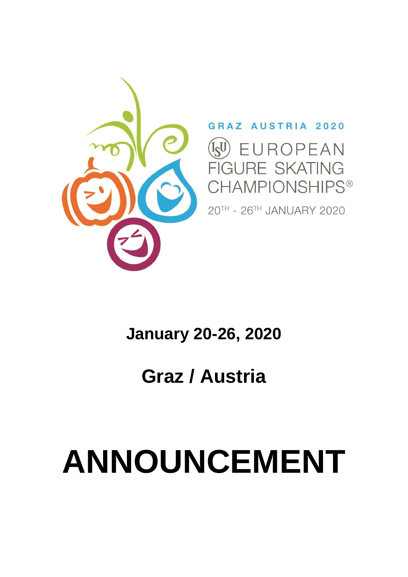# **ANNOUNCEMENT**

## **Graz / Austria**

### **January 20-26, 2020**



#### AUSTRIA 2020 **GR**

 $I_S U$ UROPEAN RE SKATING GU **HAMPIONSHIPS®** 

20TH - 26TH JANUARY 2020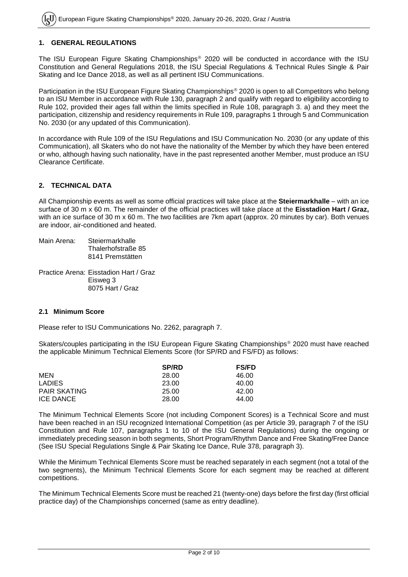#### **1. GENERAL REGULATIONS**

The ISU European Figure Skating Championships<sup>®</sup> 2020 will be conducted in accordance with the ISU Constitution and General Regulations 2018, the ISU Special Regulations & Technical Rules Single & Pair Skating and Ice Dance 2018, as well as all pertinent ISU Communications.

Participation in the ISU European Figure Skating Championships<sup>®</sup> 2020 is open to all Competitors who belong to an ISU Member in accordance with Rule 130, paragraph 2 and qualify with regard to eligibility according to Rule 102, provided their ages fall within the limits specified in Rule 108, paragraph 3. a) and they meet the participation, citizenship and residency requirements in Rule 109, paragraphs 1 through 5 and Communication No. 2030 (or any updated of this Communication).

In accordance with Rule 109 of the ISU Regulations and ISU Communication No. 2030 (or any update of this Communication), all Skaters who do not have the nationality of the Member by which they have been entered or who, although having such nationality, have in the past represented another Member, must produce an ISU Clearance Certificate.

#### **2. TECHNICAL DATA**

All Championship events as well as some official practices will take place at the **Steiermarkhalle** – with an ice surface of 30 m x 60 m. The remainder of the official practices will take place at the **Eisstadion Hart / Graz,**  with an ice surface of 30 m x 60 m. The two facilities are 7km apart (approx. 20 minutes by car). Both venues are indoor, air-conditioned and heated.

Main Arena: Steiermarkhalle Thalerhofstraße 85 8141 Premstätten

Practice Arena: Eisstadion Hart / Graz Eisweg 3 8075 Hart / Graz

#### **2.1 Minimum Score**

Please refer to ISU Communications No. 2262, paragraph 7.

Skaters/couples participating in the ISU European Figure Skating Championships<sup>®</sup> 2020 must have reached the applicable Minimum Technical Elements Score (for SP/RD and FS/FD) as follows:

|                     | <b>SP/RD</b> | <b>FS/FD</b> |
|---------------------|--------------|--------------|
| MEN                 | 28.00        | 46.00        |
| <b>LADIES</b>       | 23.00        | 40.00        |
| <b>PAIR SKATING</b> | 25.00        | 42.00        |
| <b>ICE DANCE</b>    | 28.00        | 44.00        |

The Minimum Technical Elements Score (not including Component Scores) is a Technical Score and must have been reached in an ISU recognized International Competition (as per Article 39, paragraph 7 of the ISU Constitution and Rule 107, paragraphs 1 to 10 of the ISU General Regulations) during the ongoing or immediately preceding season in both segments, Short Program/Rhythm Dance and Free Skating/Free Dance (See ISU Special Regulations Single & Pair Skating Ice Dance, Rule 378, paragraph 3).

While the Minimum Technical Elements Score must be reached separately in each segment (not a total of the two segments), the Minimum Technical Elements Score for each segment may be reached at different competitions.

The Minimum Technical Elements Score must be reached 21 (twenty-one) days before the first day (first official practice day) of the Championships concerned (same as entry deadline).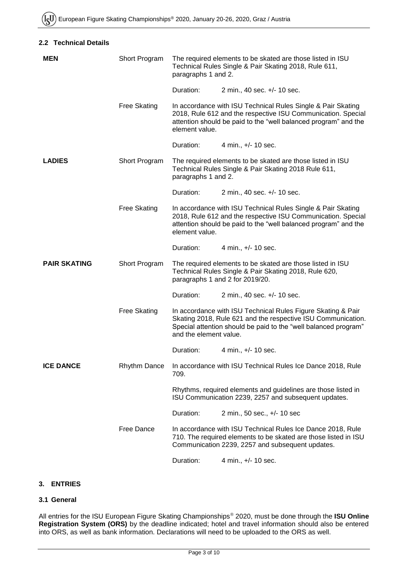| 2.2 Technical Details |
|-----------------------|
|                       |

| <b>MEN</b>          | Short Program       | The required elements to be skated are those listed in ISU<br>Technical Rules Single & Pair Skating 2018, Rule 611,<br>paragraphs 1 and 2.                                                                        |                                                                                                                                                                                                 |  |
|---------------------|---------------------|-------------------------------------------------------------------------------------------------------------------------------------------------------------------------------------------------------------------|-------------------------------------------------------------------------------------------------------------------------------------------------------------------------------------------------|--|
|                     |                     | Duration:                                                                                                                                                                                                         | 2 min., 40 sec. +/- 10 sec.                                                                                                                                                                     |  |
|                     | <b>Free Skating</b> | In accordance with ISU Technical Rules Single & Pair Skating<br>2018, Rule 612 and the respective ISU Communication. Special<br>attention should be paid to the "well balanced program" and the<br>element value. |                                                                                                                                                                                                 |  |
|                     |                     | Duration:                                                                                                                                                                                                         | 4 min., +/- 10 sec.                                                                                                                                                                             |  |
| <b>LADIES</b>       | Short Program       | The required elements to be skated are those listed in ISU<br>Technical Rules Single & Pair Skating 2018 Rule 611,<br>paragraphs 1 and 2.                                                                         |                                                                                                                                                                                                 |  |
|                     |                     | Duration:                                                                                                                                                                                                         | 2 min., 40 sec. +/- 10 sec.                                                                                                                                                                     |  |
|                     | <b>Free Skating</b> | element value.                                                                                                                                                                                                    | In accordance with ISU Technical Rules Single & Pair Skating<br>2018, Rule 612 and the respective ISU Communication. Special<br>attention should be paid to the "well balanced program" and the |  |
|                     |                     | Duration:                                                                                                                                                                                                         | 4 min., +/- 10 sec.                                                                                                                                                                             |  |
| <b>PAIR SKATING</b> | Short Program       | The required elements to be skated are those listed in ISU<br>Technical Rules Single & Pair Skating 2018, Rule 620,<br>paragraphs 1 and 2 for 2019/20.                                                            |                                                                                                                                                                                                 |  |
|                     |                     | Duration:                                                                                                                                                                                                         | 2 min., 40 sec. +/- 10 sec.                                                                                                                                                                     |  |
|                     | <b>Free Skating</b> | and the element value.                                                                                                                                                                                            | In accordance with ISU Technical Rules Figure Skating & Pair<br>Skating 2018, Rule 621 and the respective ISU Communication.<br>Special attention should be paid to the "well balanced program" |  |
|                     |                     | Duration:                                                                                                                                                                                                         | 4 min., +/- 10 sec.                                                                                                                                                                             |  |
| <b>ICE DANCE</b>    | <b>Rhythm Dance</b> | 709.                                                                                                                                                                                                              | In accordance with ISU Technical Rules Ice Dance 2018, Rule                                                                                                                                     |  |
|                     |                     |                                                                                                                                                                                                                   | Rhythms, required elements and guidelines are those listed in<br>ISU Communication 2239, 2257 and subsequent updates.                                                                           |  |
|                     |                     | Duration:                                                                                                                                                                                                         | 2 min., 50 sec., +/- 10 sec                                                                                                                                                                     |  |
|                     | Free Dance          |                                                                                                                                                                                                                   | In accordance with ISU Technical Rules Ice Dance 2018, Rule<br>710. The required elements to be skated are those listed in ISU<br>Communication 2239, 2257 and subsequent updates.              |  |
|                     |                     | Duration:                                                                                                                                                                                                         | 4 min., +/- 10 sec.                                                                                                                                                                             |  |

#### **3. ENTRIES**

#### **3.1 General**

All entries for the ISU European Figure Skating Championships 2020, must be done through the **ISU Online Registration System (ORS)** by the deadline indicated; hotel and travel information should also be entered into ORS, as well as bank information. Declarations will need to be uploaded to the ORS as well.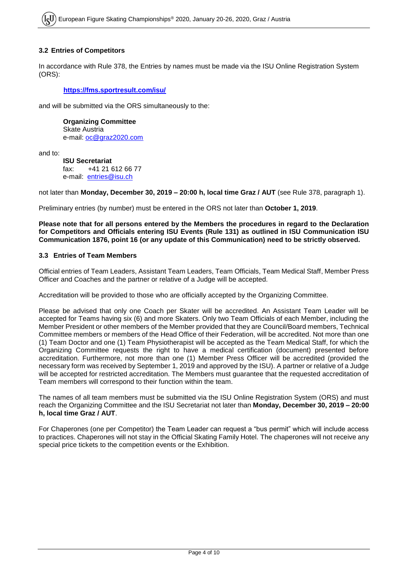#### **3.2 Entries of Competitors**

In accordance with Rule 378, the Entries by names must be made via the ISU Online Registration System (ORS):

#### **<https://fms.sportresult.com/isu/>**

and will be submitted via the ORS simultaneously to the:

**Organizing Committee** Skate Austria e-mail: [oc@graz2020.com](mailto:oc@graz2020.com)

and to:

**ISU Secretariat** fax: +41 21 612 66 77 e-mail: [entries@isu.ch](mailto:entries@isu.ch)

not later than **Monday, December 30, 2019 – 20:00 h, local time Graz / AUT** (see Rule 378, paragraph 1).

Preliminary entries (by number) must be entered in the ORS not later than **October 1, 2019**.

**Please note that for all persons entered by the Members the procedures in regard to the Declaration for Competitors and Officials entering ISU Events (Rule 131) as outlined in ISU Communication ISU Communication 1876, point 16 (or any update of this Communication) need to be strictly observed.**

#### **3.3 Entries of Team Members**

Official entries of Team Leaders, Assistant Team Leaders, Team Officials, Team Medical Staff, Member Press Officer and Coaches and the partner or relative of a Judge will be accepted.

Accreditation will be provided to those who are officially accepted by the Organizing Committee.

Please be advised that only one Coach per Skater will be accredited. An Assistant Team Leader will be accepted for Teams having six (6) and more Skaters. Only two Team Officials of each Member, including the Member President or other members of the Member provided that they are Council/Board members, Technical Committee members or members of the Head Office of their Federation, will be accredited. Not more than one (1) Team Doctor and one (1) Team Physiotherapist will be accepted as the Team Medical Staff, for which the Organizing Committee requests the right to have a medical certification (document) presented before accreditation. Furthermore, not more than one (1) Member Press Officer will be accredited (provided the necessary form was received by September 1, 2019 and approved by the ISU). A partner or relative of a Judge will be accepted for restricted accreditation. The Members must guarantee that the requested accreditation of Team members will correspond to their function within the team.

The names of all team members must be submitted via the ISU Online Registration System (ORS) and must reach the Organizing Committee and the ISU Secretariat not later than **Monday, December 30, 2019 – 20:00 h, local time Graz / AUT**.

For Chaperones (one per Competitor) the Team Leader can request a "bus permit" which will include access to practices. Chaperones will not stay in the Official Skating Family Hotel. The chaperones will not receive any special price tickets to the competition events or the Exhibition.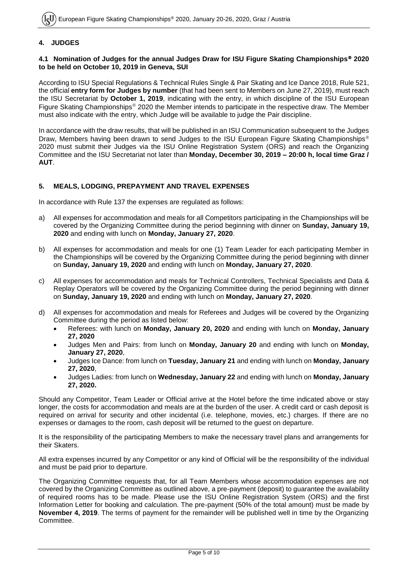#### **4. JUDGES**

#### **4.1 Nomination of Judges for the annual Judges Draw for ISU Figure Skating Championships 2020 to be held on October 10, 2019 in Geneva, SUI**

According to ISU Special Regulations & Technical Rules Single & Pair Skating and Ice Dance 2018, Rule 521, the official **entry form for Judges by number** (that had been sent to Members on June 27, 2019), must reach the ISU Secretariat by **October 1, 2019**, indicating with the entry, in which discipline of the ISU European Figure Skating Championships<sup>®</sup> 2020 the Member intends to participate in the respective draw. The Member must also indicate with the entry, which Judge will be available to judge the Pair discipline.

In accordance with the draw results, that will be published in an ISU Communication subsequent to the Judges Draw, Members having been drawn to send Judges to the ISU European Figure Skating Championships<sup>®</sup> 2020 must submit their Judges via the ISU Online Registration System (ORS) and reach the Organizing Committee and the ISU Secretariat not later than **Monday, December 30, 2019 – 20:00 h, local time Graz / AUT**.

#### **5. MEALS, LODGING, PREPAYMENT AND TRAVEL EXPENSES**

In accordance with Rule 137 the expenses are regulated as follows:

- a) All expenses for accommodation and meals for all Competitors participating in the Championships will be covered by the Organizing Committee during the period beginning with dinner on **Sunday, January 19, 2020** and ending with lunch on **Monday, January 27, 2020**.
- b) All expenses for accommodation and meals for one (1) Team Leader for each participating Member in the Championships will be covered by the Organizing Committee during the period beginning with dinner on **Sunday, January 19, 2020** and ending with lunch on **Monday, January 27, 2020**.
- c) All expenses for accommodation and meals for Technical Controllers, Technical Specialists and Data & Replay Operators will be covered by the Organizing Committee during the period beginning with dinner on **Sunday, January 19, 2020** and ending with lunch on **Monday, January 27, 2020**.
- d) All expenses for accommodation and meals for Referees and Judges will be covered by the Organizing Committee during the period as listed below:
	- Referees: with lunch on **Monday, January 20, 2020** and ending with lunch on **Monday, January 27, 2020**
	- Judges Men and Pairs: from lunch on **Monday, January 20** and ending with lunch on **Monday, January 27, 2020**,
	- Judges Ice Dance: from lunch on **Tuesday, January 21** and ending with lunch on **Monday, January 27, 2020**,
	- Judges Ladies: from lunch on **Wednesday, January 22** and ending with lunch on **Monday, January 27, 2020.**

Should any Competitor, Team Leader or Official arrive at the Hotel before the time indicated above or stay longer, the costs for accommodation and meals are at the burden of the user. A credit card or cash deposit is required on arrival for security and other incidental (i.e. telephone, movies, etc.) charges. If there are no expenses or damages to the room, cash deposit will be returned to the guest on departure.

It is the responsibility of the participating Members to make the necessary travel plans and arrangements for their Skaters.

All extra expenses incurred by any Competitor or any kind of Official will be the responsibility of the individual and must be paid prior to departure.

The Organizing Committee requests that, for all Team Members whose accommodation expenses are not covered by the Organizing Committee as outlined above, a pre-payment (deposit) to guarantee the availability of required rooms has to be made. Please use the ISU Online Registration System (ORS) and the first Information Letter for booking and calculation. The pre-payment (50% of the total amount) must be made by **November 4, 2019**. The terms of payment for the remainder will be published well in time by the Organizing Committee.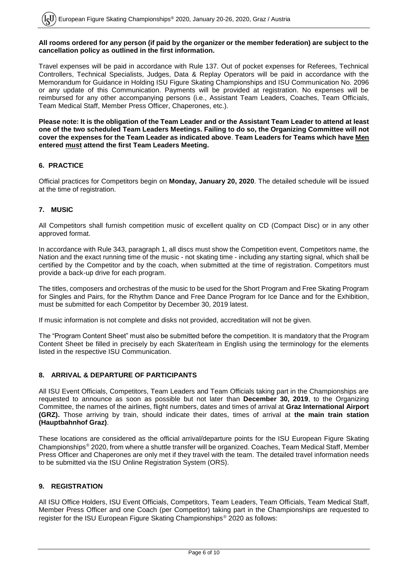#### **All rooms ordered for any person (if paid by the organizer or the member federation) are subject to the cancellation policy as outlined in the first information.**

Travel expenses will be paid in accordance with Rule 137. Out of pocket expenses for Referees, Technical Controllers, Technical Specialists, Judges, Data & Replay Operators will be paid in accordance with the Memorandum for Guidance in Holding ISU Figure Skating Championships and ISU Communication No. 2096 or any update of this Communication. Payments will be provided at registration. No expenses will be reimbursed for any other accompanying persons (i.e., Assistant Team Leaders, Coaches, Team Officials, Team Medical Staff, Member Press Officer, Chaperones, etc.).

**Please note: It is the obligation of the Team Leader and or the Assistant Team Leader to attend at least one of the two scheduled Team Leaders Meetings. Failing to do so, the Organizing Committee will not cover the expenses for the Team Leader as indicated above**. **Team Leaders for Teams which have Men entered must attend the first Team Leaders Meeting.**

#### **6. PRACTICE**

Official practices for Competitors begin on **Monday, January 20, 2020**. The detailed schedule will be issued at the time of registration.

#### **7. MUSIC**

All Competitors shall furnish competition music of excellent quality on CD (Compact Disc) or in any other approved format.

In accordance with Rule 343, paragraph 1, all discs must show the Competition event, Competitors name, the Nation and the exact running time of the music - not skating time - including any starting signal, which shall be certified by the Competitor and by the coach, when submitted at the time of registration. Competitors must provide a back-up drive for each program.

The titles, composers and orchestras of the music to be used for the Short Program and Free Skating Program for Singles and Pairs, for the Rhythm Dance and Free Dance Program for Ice Dance and for the Exhibition, must be submitted for each Competitor by December 30, 2019 latest.

If music information is not complete and disks not provided, accreditation will not be given.

The "Program Content Sheet" must also be submitted before the competition. It is mandatory that the Program Content Sheet be filled in precisely by each Skater/team in English using the terminology for the elements listed in the respective ISU Communication.

#### **8. ARRIVAL & DEPARTURE OF PARTICIPANTS**

All ISU Event Officials, Competitors, Team Leaders and Team Officials taking part in the Championships are requested to announce as soon as possible but not later than **December 30, 2019**, to the Organizing Committee, the names of the airlines, flight numbers, dates and times of arrival at **Graz International Airport (GRZ).** Those arriving by train, should indicate their dates, times of arrival at **the main train station (Hauptbahnhof Graz)**.

These locations are considered as the official arrival/departure points for the ISU European Figure Skating Championships 2020, from where a shuttle transfer will be organized. Coaches, Team Medical Staff, Member Press Officer and Chaperones are only met if they travel with the team. The detailed travel information needs to be submitted via the ISU Online Registration System (ORS).

#### **9. REGISTRATION**

All ISU Office Holders, ISU Event Officials, Competitors, Team Leaders, Team Officials, Team Medical Staff, Member Press Officer and one Coach (per Competitor) taking part in the Championships are requested to register for the ISU European Figure Skating Championships<sup>®</sup> 2020 as follows: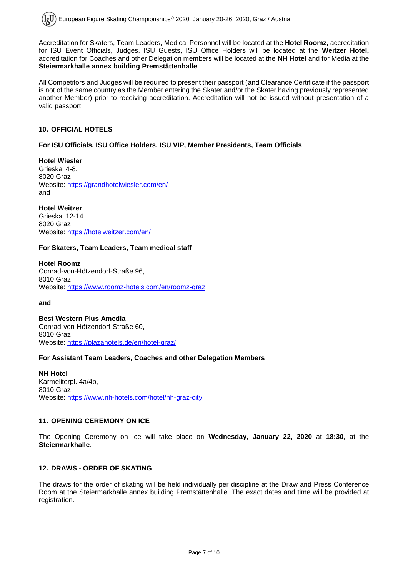Accreditation for Skaters, Team Leaders, Medical Personnel will be located at the **Hotel Roomz,** accreditation for ISU Event Officials, Judges, ISU Guests, ISU Office Holders will be located at the **Weitzer Hotel,**  accreditation for Coaches and other Delegation members will be located at the **NH Hotel** and for Media at the **Steiermarkhalle annex building Premstättenhalle**.

All Competitors and Judges will be required to present their passport (and Clearance Certificate if the passport is not of the same country as the Member entering the Skater and/or the Skater having previously represented another Member) prior to receiving accreditation. Accreditation will not be issued without presentation of a valid passport.

#### **10. OFFICIAL HOTELS**

#### **For ISU Officials, ISU Office Holders, ISU VIP, Member Presidents, Team Officials**

**Hotel Wiesler** Grieskai 4-8, 8020 Graz Website:<https://grandhotelwiesler.com/en/> and

**Hotel Weitzer** Grieskai 12-14 8020 Graz Website:<https://hotelweitzer.com/en/>

#### **For Skaters, Team Leaders, Team medical staff**

**Hotel Roomz**  Conrad-von-Hötzendorf-Straße 96, 8010 Graz Website:<https://www.roomz-hotels.com/en/roomz-graz>

**and** 

**Best Western Plus Amedia** Conrad-von-Hötzendorf-Straße 60, 8010 Graz Website:<https://plazahotels.de/en/hotel-graz/>

#### **For Assistant Team Leaders, Coaches and other Delegation Members**

**NH Hotel** Karmeliterpl. 4a/4b, 8010 Graz Website: <https://www.nh-hotels.com/hotel/nh-graz-city>

#### **11. OPENING CEREMONY ON ICE**

The Opening Ceremony on Ice will take place on **Wednesday, January 22, 2020** at **18:30**, at the **Steiermarkhalle**.

#### **12. DRAWS - ORDER OF SKATING**

The draws for the order of skating will be held individually per discipline at the Draw and Press Conference Room at the Steiermarkhalle annex building Premstättenhalle. The exact dates and time will be provided at registration.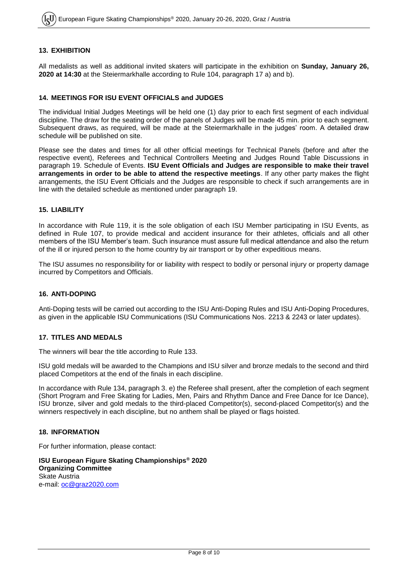#### **13. EXHIBITION**

All medalists as well as additional invited skaters will participate in the exhibition on **Sunday, January 26, 2020 at 14:30** at the Steiermarkhalle according to Rule 104, paragraph 17 a) and b).

#### **14. MEETINGS FOR ISU EVENT OFFICIALS and JUDGES**

The individual Initial Judges Meetings will be held one (1) day prior to each first segment of each individual discipline. The draw for the seating order of the panels of Judges will be made 45 min. prior to each segment. Subsequent draws, as required, will be made at the Steiermarkhalle in the judges' room. A detailed draw schedule will be published on site.

Please see the dates and times for all other official meetings for Technical Panels (before and after the respective event), Referees and Technical Controllers Meeting and Judges Round Table Discussions in paragraph 19. Schedule of Events. **ISU Event Officials and Judges are responsible to make their travel arrangements in order to be able to attend the respective meetings**. If any other party makes the flight arrangements, the ISU Event Officials and the Judges are responsible to check if such arrangements are in line with the detailed schedule as mentioned under paragraph 19.

#### **15. LIABILITY**

In accordance with Rule 119, it is the sole obligation of each ISU Member participating in ISU Events, as defined in Rule 107, to provide medical and accident insurance for their athletes, officials and all other members of the ISU Member's team. Such insurance must assure full medical attendance and also the return of the ill or injured person to the home country by air transport or by other expeditious means.

The ISU assumes no responsibility for or liability with respect to bodily or personal injury or property damage incurred by Competitors and Officials.

#### **16. ANTI-DOPING**

Anti-Doping tests will be carried out according to the ISU Anti-Doping Rules and ISU Anti-Doping Procedures, as given in the applicable ISU Communications (ISU Communications Nos. 2213 & 2243 or later updates).

#### **17. TITLES AND MEDALS**

The winners will bear the title according to Rule 133.

ISU gold medals will be awarded to the Champions and ISU silver and bronze medals to the second and third placed Competitors at the end of the finals in each discipline.

In accordance with Rule 134, paragraph 3. e) the Referee shall present, after the completion of each segment (Short Program and Free Skating for Ladies, Men, Pairs and Rhythm Dance and Free Dance for Ice Dance), ISU bronze, silver and gold medals to the third-placed Competitor(s), second-placed Competitor(s) and the winners respectively in each discipline, but no anthem shall be played or flags hoisted.

#### **18. INFORMATION**

For further information, please contact:

**ISU European Figure Skating Championships® 2020 Organizing Committee** Skate Austria e-mail: [oc@graz2020.com](mailto:oc@graz2020.com)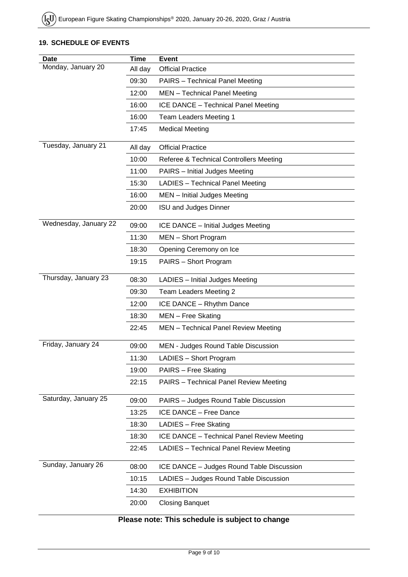#### **19. SCHEDULE OF EVENTS**

| <b>Date</b>           | <b>Time</b> | <b>Event</b>                                   |  |
|-----------------------|-------------|------------------------------------------------|--|
| Monday, January 20    | All day     | <b>Official Practice</b>                       |  |
|                       | 09:30       | <b>PAIRS</b> - Technical Panel Meeting         |  |
|                       | 12:00       | MEN - Technical Panel Meeting                  |  |
|                       | 16:00       | ICE DANCE - Technical Panel Meeting            |  |
|                       | 16:00       | Team Leaders Meeting 1                         |  |
|                       | 17:45       | <b>Medical Meeting</b>                         |  |
| Tuesday, January 21   | All day     | <b>Official Practice</b>                       |  |
|                       | 10:00       | Referee & Technical Controllers Meeting        |  |
|                       | 11:00       | PAIRS - Initial Judges Meeting                 |  |
|                       | 15:30       | LADIES - Technical Panel Meeting               |  |
|                       | 16:00       | MEN - Initial Judges Meeting                   |  |
|                       | 20:00       | <b>ISU and Judges Dinner</b>                   |  |
| Wednesday, January 22 | 09:00       | ICE DANCE - Initial Judges Meeting             |  |
|                       | 11:30       | MEN - Short Program                            |  |
|                       | 18:30       | Opening Ceremony on Ice                        |  |
|                       | 19:15       | PAIRS - Short Program                          |  |
| Thursday, January 23  | 08:30       | LADIES - Initial Judges Meeting                |  |
|                       | 09:30       | Team Leaders Meeting 2                         |  |
|                       | 12:00       | ICE DANCE - Rhythm Dance                       |  |
|                       | 18:30       | MEN - Free Skating                             |  |
|                       | 22:45       | MEN - Technical Panel Review Meeting           |  |
| Friday, January 24    | 09:00       | MEN - Judges Round Table Discussion            |  |
|                       | 11:30       | LADIES - Short Program                         |  |
|                       | 19:00       | PAIRS - Free Skating                           |  |
|                       | 22:15       | <b>PAIRS</b> - Technical Panel Review Meeting  |  |
| Saturday, January 25  | 09:00       | PAIRS - Judges Round Table Discussion          |  |
|                       | 13:25       | ICE DANCE - Free Dance                         |  |
|                       | 18:30       | LADIES - Free Skating                          |  |
|                       | 18:30       | ICE DANCE - Technical Panel Review Meeting     |  |
|                       | 22:45       | <b>LADIES</b> - Technical Panel Review Meeting |  |
| Sunday, January 26    | 08:00       | ICE DANCE - Judges Round Table Discussion      |  |
|                       | 10:15       | LADIES - Judges Round Table Discussion         |  |
|                       | 14:30       | <b>EXHIBITION</b>                              |  |
|                       | 20:00       | <b>Closing Banquet</b>                         |  |

### **Please note: This schedule is subject to change**